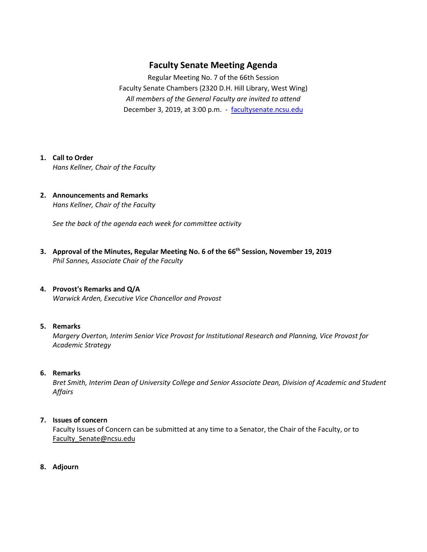# **Faculty Senate Meeting Agenda**

Regular Meeting No. 7 of the 66th Session Faculty Senate Chambers (2320 D.H. Hill Library, West Wing) *All members of the General Faculty are invited to attend* December 3, 2019, at 3:00 p.m. - [facultysenate.ncsu.edu](https://facultysenate.ncsu.edu/)

## **1. Call to Order**

*Hans Kellner, Chair of the Faculty*

**2. Announcements and Remarks** *Hans Kellner, Chair of the Faculty*

*See the back of the agenda each week for committee activity* 

- **3. Approval of the Minutes, Regular Meeting No. 6 of the 66th Session, November 19, 2019** *Phil Sannes, Associate Chair of the Faculty*
- **4. Provost's Remarks and Q/A** *Warwick Arden, Executive Vice Chancellor and Provost*

## **5. Remarks**

*Margery Overton, Interim Senior Vice Provost for Institutional Research and Planning, Vice Provost for Academic Strategy*

### **6. Remarks**

*Bret Smith, Interim Dean of University College and Senior Associate Dean, Division of Academic and Student Affairs*

## **7. Issues of concern**

Faculty Issues of Concern can be submitted at any time to a Senator, the Chair of the Faculty, or to Faculty Senate@ncsu.edu

**8. Adjourn**